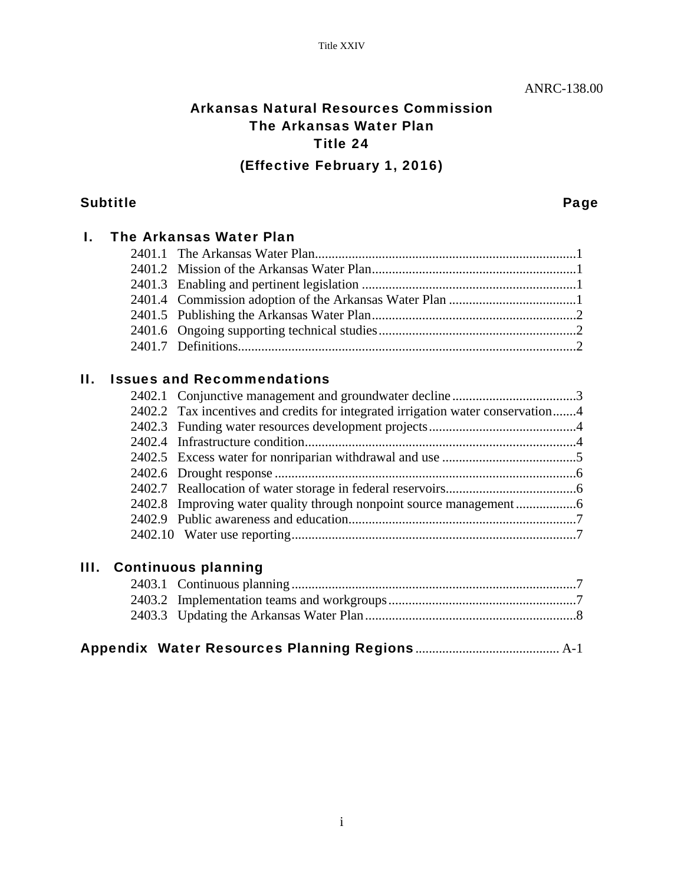# Arkansas Natural Resources Commission The Arkansas Water Plan Title 24 (Effective February 1, 2016)

### Subtitle **Subtitle Research Contract Contract Contract Contract Contract Contract Contract Contract Contract Contract Contract Contract Contract Contract Contract Contract Contract Contract Contract Contract Contract Contr**

|    |        | <b>The Arkansas Water Plan</b>                                                  |  |
|----|--------|---------------------------------------------------------------------------------|--|
|    |        |                                                                                 |  |
|    |        |                                                                                 |  |
|    |        |                                                                                 |  |
|    |        |                                                                                 |  |
|    |        |                                                                                 |  |
|    |        |                                                                                 |  |
|    |        |                                                                                 |  |
| Н. |        | <b>Issues and Recommendations</b>                                               |  |
|    |        |                                                                                 |  |
|    |        | 2402.2 Tax incentives and credits for integrated irrigation water conservation4 |  |
|    |        |                                                                                 |  |
|    | 2402.4 |                                                                                 |  |

# III. Continuous planning

|--|--|--|--|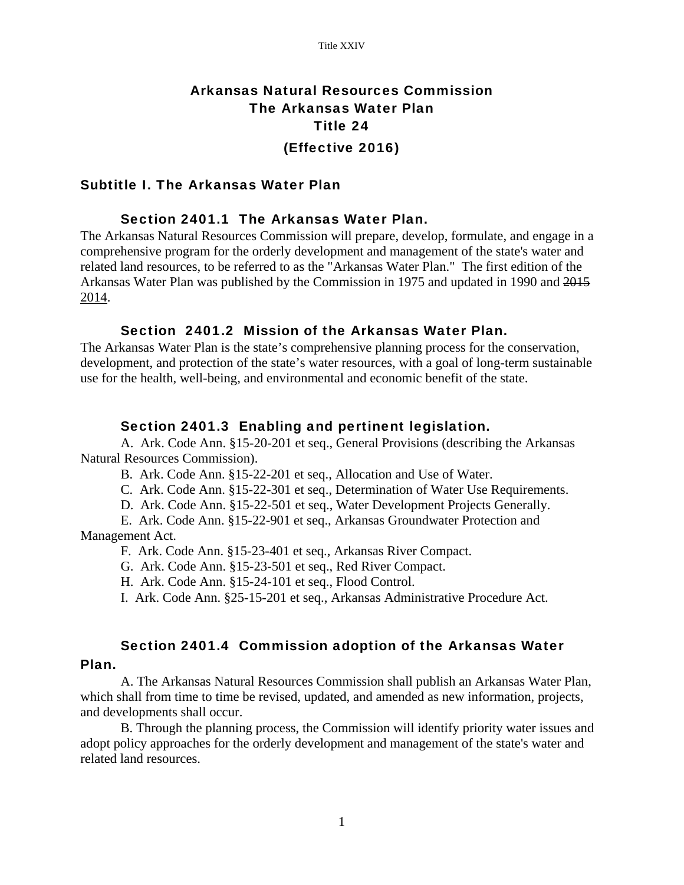# Arkansas Natural Resources Commission The Arkansas Water Plan Title 24 (Effective 2016)

#### Subtitle I. The Arkansas Water Plan

#### Section 2401.1 The Arkansas Water Plan.

The Arkansas Natural Resources Commission will prepare, develop, formulate, and engage in a comprehensive program for the orderly development and management of the state's water and related land resources, to be referred to as the "Arkansas Water Plan." The first edition of the Arkansas Water Plan was published by the Commission in 1975 and updated in 1990 and 2015 2014.

#### Section 2401.2 Mission of the Arkansas Water Plan.

The Arkansas Water Plan is the state's comprehensive planning process for the conservation, development, and protection of the state's water resources, with a goal of long-term sustainable use for the health, well-being, and environmental and economic benefit of the state.

#### Section 2401.3 Enabling and pertinent legislation.

A. Ark. Code Ann. §15-20-201 et seq., General Provisions (describing the Arkansas Natural Resources Commission).

B. Ark. Code Ann. §15-22-201 et seq., Allocation and Use of Water.

C. Ark. Code Ann. §15-22-301 et seq., Determination of Water Use Requirements.

D. Ark. Code Ann. §15-22-501 et seq., Water Development Projects Generally.

 E. Ark. Code Ann. §15-22-901 et seq., Arkansas Groundwater Protection and Management Act.

F. Ark. Code Ann. §15-23-401 et seq., Arkansas River Compact.

G. Ark. Code Ann. §15-23-501 et seq., Red River Compact.

H. Ark. Code Ann. §15-24-101 et seq., Flood Control.

I. Ark. Code Ann. §25-15-201 et seq., Arkansas Administrative Procedure Act.

#### Section 2401.4 Commission adoption of the Arkansas Water

#### Plan.

 A. The Arkansas Natural Resources Commission shall publish an Arkansas Water Plan, which shall from time to time be revised, updated, and amended as new information, projects, and developments shall occur.

 B. Through the planning process, the Commission will identify priority water issues and adopt policy approaches for the orderly development and management of the state's water and related land resources.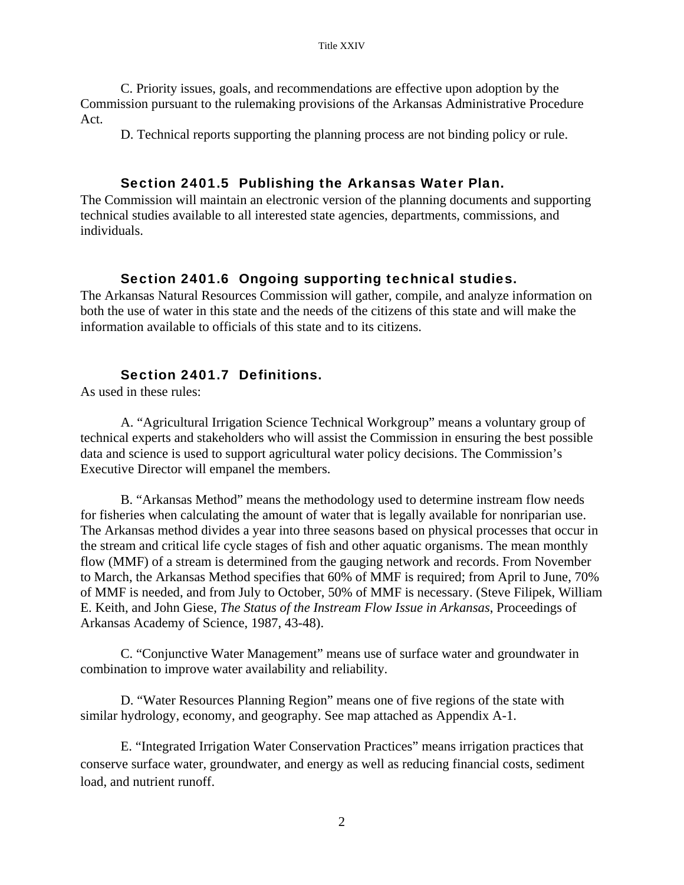C. Priority issues, goals, and recommendations are effective upon adoption by the Commission pursuant to the rulemaking provisions of the Arkansas Administrative Procedure Act.

D. Technical reports supporting the planning process are not binding policy or rule.

#### Section 2401.5 Publishing the Arkansas Water Plan.

The Commission will maintain an electronic version of the planning documents and supporting technical studies available to all interested state agencies, departments, commissions, and individuals.

#### Section 2401.6 Ongoing supporting technical studies.

The Arkansas Natural Resources Commission will gather, compile, and analyze information on both the use of water in this state and the needs of the citizens of this state and will make the information available to officials of this state and to its citizens.

### Section 2401.7 Definitions.

As used in these rules:

A. "Agricultural Irrigation Science Technical Workgroup" means a voluntary group of technical experts and stakeholders who will assist the Commission in ensuring the best possible data and science is used to support agricultural water policy decisions. The Commission's Executive Director will empanel the members.

B. "Arkansas Method" means the methodology used to determine instream flow needs for fisheries when calculating the amount of water that is legally available for nonriparian use. The Arkansas method divides a year into three seasons based on physical processes that occur in the stream and critical life cycle stages of fish and other aquatic organisms. The mean monthly flow (MMF) of a stream is determined from the gauging network and records. From November to March, the Arkansas Method specifies that 60% of MMF is required; from April to June, 70% of MMF is needed, and from July to October, 50% of MMF is necessary. (Steve Filipek, William E. Keith, and John Giese, *The Status of the Instream Flow Issue in Arkansas*, Proceedings of Arkansas Academy of Science, 1987, 43-48).

C. "Conjunctive Water Management" means use of surface water and groundwater in combination to improve water availability and reliability.

D. "Water Resources Planning Region" means one of five regions of the state with similar hydrology, economy, and geography. See map attached as Appendix A-1.

E. "Integrated Irrigation Water Conservation Practices" means irrigation practices that conserve surface water, groundwater, and energy as well as reducing financial costs, sediment load, and nutrient runoff.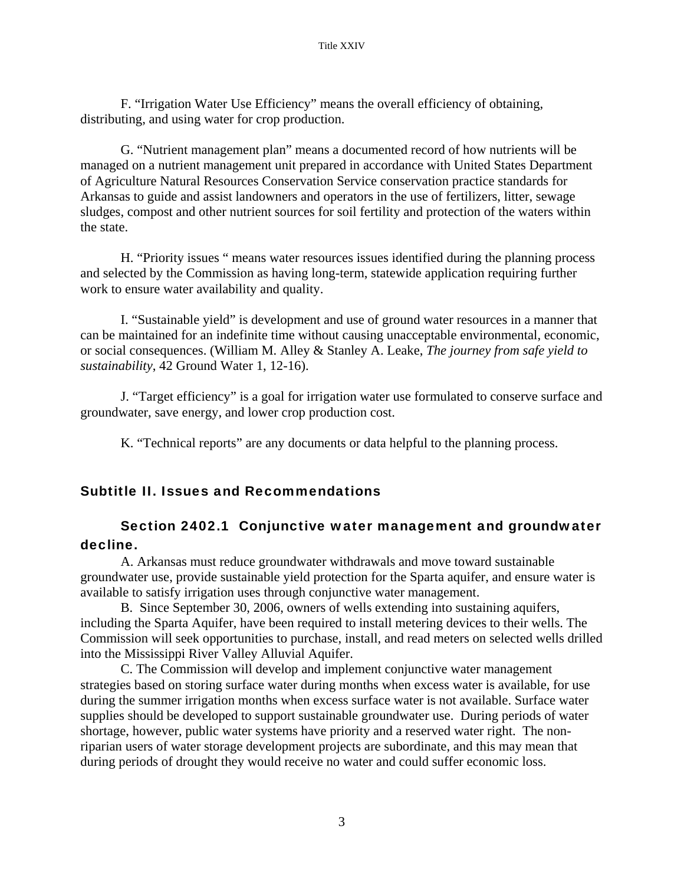F. "Irrigation Water Use Efficiency" means the overall efficiency of obtaining, distributing, and using water for crop production.

G. "Nutrient management plan" means a documented record of how nutrients will be managed on a nutrient management unit prepared in accordance with United States Department of Agriculture Natural Resources Conservation Service conservation practice standards for Arkansas to guide and assist landowners and operators in the use of fertilizers, litter, sewage sludges, compost and other nutrient sources for soil fertility and protection of the waters within the state.

H. "Priority issues " means water resources issues identified during the planning process and selected by the Commission as having long-term, statewide application requiring further work to ensure water availability and quality.

I. "Sustainable yield" is development and use of ground water resources in a manner that can be maintained for an indefinite time without causing unacceptable environmental, economic, or social consequences. (William M. Alley & Stanley A. Leake, *The journey from safe yield to sustainability*, 42 Ground Water 1, 12-16).

J. "Target efficiency" is a goal for irrigation water use formulated to conserve surface and groundwater, save energy, and lower crop production cost.

K. "Technical reports" are any documents or data helpful to the planning process.

### Subtitle II. Issues and Recommendations

### Section 2402.1 Conjunctive water management and groundwater decline.

 A. Arkansas must reduce groundwater withdrawals and move toward sustainable groundwater use, provide sustainable yield protection for the Sparta aquifer, and ensure water is available to satisfy irrigation uses through conjunctive water management.

 B. Since September 30, 2006, owners of wells extending into sustaining aquifers, including the Sparta Aquifer, have been required to install metering devices to their wells. The Commission will seek opportunities to purchase, install, and read meters on selected wells drilled into the Mississippi River Valley Alluvial Aquifer.

 C. The Commission will develop and implement conjunctive water management strategies based on storing surface water during months when excess water is available, for use during the summer irrigation months when excess surface water is not available. Surface water supplies should be developed to support sustainable groundwater use. During periods of water shortage, however, public water systems have priority and a reserved water right. The nonriparian users of water storage development projects are subordinate, and this may mean that during periods of drought they would receive no water and could suffer economic loss.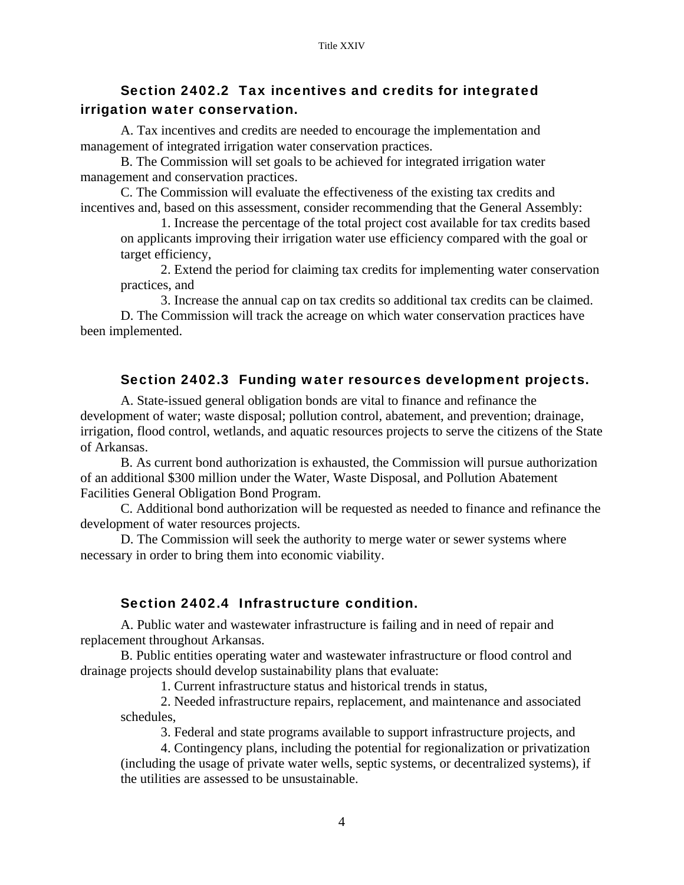### Section 2402.2 Tax incentives and credits for integrated irrigation water conservation.

 A. Tax incentives and credits are needed to encourage the implementation and management of integrated irrigation water conservation practices.

 B. The Commission will set goals to be achieved for integrated irrigation water management and conservation practices.

 C. The Commission will evaluate the effectiveness of the existing tax credits and incentives and, based on this assessment, consider recommending that the General Assembly:

1. Increase the percentage of the total project cost available for tax credits based on applicants improving their irrigation water use efficiency compared with the goal or target efficiency,

2. Extend the period for claiming tax credits for implementing water conservation practices, and

 3. Increase the annual cap on tax credits so additional tax credits can be claimed. D. The Commission will track the acreage on which water conservation practices have been implemented.

### Section 2402.3 Funding water resources development projects.

 A. State-issued general obligation bonds are vital to finance and refinance the development of water; waste disposal; pollution control, abatement, and prevention; drainage, irrigation, flood control, wetlands, and aquatic resources projects to serve the citizens of the State of Arkansas.

 B. As current bond authorization is exhausted, the Commission will pursue authorization of an additional \$300 million under the Water, Waste Disposal, and Pollution Abatement Facilities General Obligation Bond Program.

 C. Additional bond authorization will be requested as needed to finance and refinance the development of water resources projects.

 D. The Commission will seek the authority to merge water or sewer systems where necessary in order to bring them into economic viability.

#### Section 2402.4 Infrastructure condition.

 A. Public water and wastewater infrastructure is failing and in need of repair and replacement throughout Arkansas.

 B. Public entities operating water and wastewater infrastructure or flood control and drainage projects should develop sustainability plans that evaluate:

1. Current infrastructure status and historical trends in status,

 2. Needed infrastructure repairs, replacement, and maintenance and associated schedules,

3. Federal and state programs available to support infrastructure projects, and

 4. Contingency plans, including the potential for regionalization or privatization (including the usage of private water wells, septic systems, or decentralized systems), if the utilities are assessed to be unsustainable.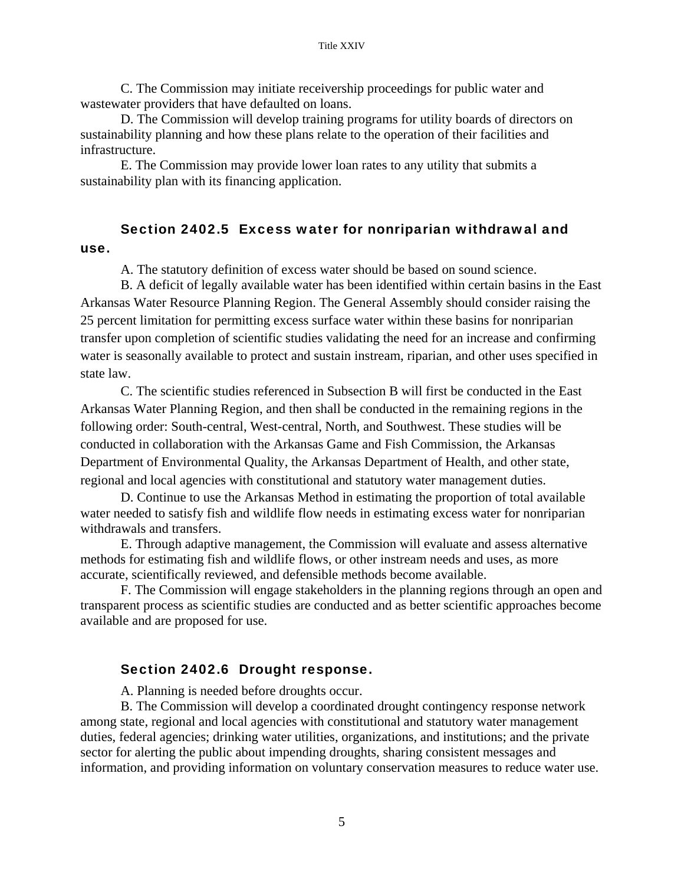C. The Commission may initiate receivership proceedings for public water and wastewater providers that have defaulted on loans.

 D. The Commission will develop training programs for utility boards of directors on sustainability planning and how these plans relate to the operation of their facilities and infrastructure.

 E. The Commission may provide lower loan rates to any utility that submits a sustainability plan with its financing application.

### Section 2402.5 Excess water for nonriparian withdrawal and use.

A. The statutory definition of excess water should be based on sound science.

B. A deficit of legally available water has been identified within certain basins in the East Arkansas Water Resource Planning Region. The General Assembly should consider raising the 25 percent limitation for permitting excess surface water within these basins for nonriparian transfer upon completion of scientific studies validating the need for an increase and confirming water is seasonally available to protect and sustain instream, riparian, and other uses specified in state law.

 C. The scientific studies referenced in Subsection B will first be conducted in the East Arkansas Water Planning Region, and then shall be conducted in the remaining regions in the following order: South-central, West-central, North, and Southwest. These studies will be conducted in collaboration with the Arkansas Game and Fish Commission, the Arkansas Department of Environmental Quality, the Arkansas Department of Health, and other state, regional and local agencies with constitutional and statutory water management duties.

 D. Continue to use the Arkansas Method in estimating the proportion of total available water needed to satisfy fish and wildlife flow needs in estimating excess water for nonriparian withdrawals and transfers.

 E. Through adaptive management, the Commission will evaluate and assess alternative methods for estimating fish and wildlife flows, or other instream needs and uses, as more accurate, scientifically reviewed, and defensible methods become available.

 F. The Commission will engage stakeholders in the planning regions through an open and transparent process as scientific studies are conducted and as better scientific approaches become available and are proposed for use.

#### Section 2402.6 Drought response.

A. Planning is needed before droughts occur.

 B. The Commission will develop a coordinated drought contingency response network among state, regional and local agencies with constitutional and statutory water management duties, federal agencies; drinking water utilities, organizations, and institutions; and the private sector for alerting the public about impending droughts, sharing consistent messages and information, and providing information on voluntary conservation measures to reduce water use.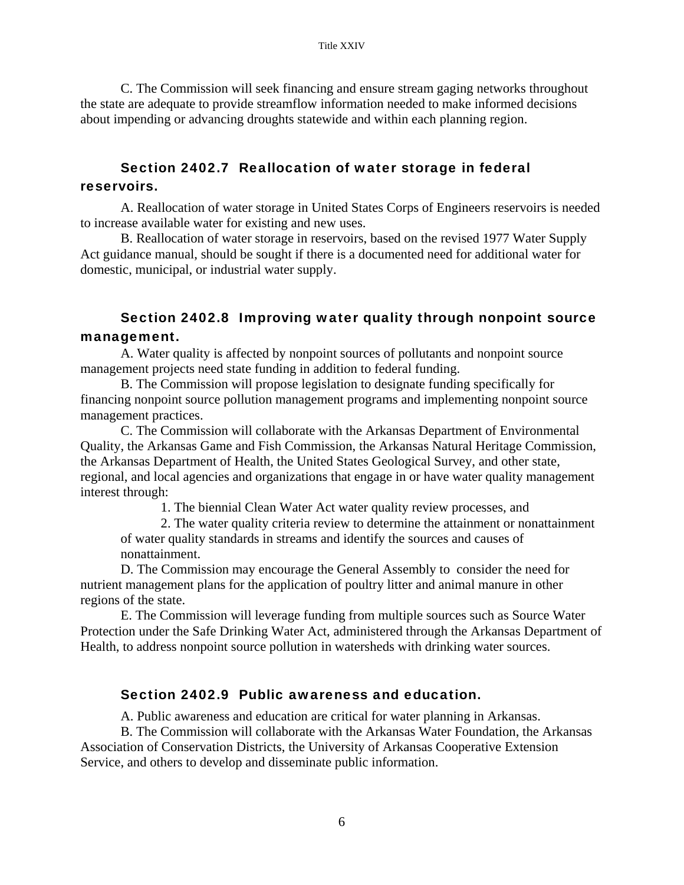C. The Commission will seek financing and ensure stream gaging networks throughout the state are adequate to provide streamflow information needed to make informed decisions about impending or advancing droughts statewide and within each planning region.

### Section 2402.7 Reallocation of water storage in federal reservoirs.

 A. Reallocation of water storage in United States Corps of Engineers reservoirs is needed to increase available water for existing and new uses.

 B. Reallocation of water storage in reservoirs, based on the revised 1977 Water Supply Act guidance manual, should be sought if there is a documented need for additional water for domestic, municipal, or industrial water supply.

### Section 2402.8 Improving water quality through nonpoint source management.

 A. Water quality is affected by nonpoint sources of pollutants and nonpoint source management projects need state funding in addition to federal funding.

 B. The Commission will propose legislation to designate funding specifically for financing nonpoint source pollution management programs and implementing nonpoint source management practices.

 C. The Commission will collaborate with the Arkansas Department of Environmental Quality, the Arkansas Game and Fish Commission, the Arkansas Natural Heritage Commission, the Arkansas Department of Health, the United States Geological Survey, and other state, regional, and local agencies and organizations that engage in or have water quality management interest through:

1. The biennial Clean Water Act water quality review processes, and

 2. The water quality criteria review to determine the attainment or nonattainment of water quality standards in streams and identify the sources and causes of nonattainment.

 D. The Commission may encourage the General Assembly to consider the need for nutrient management plans for the application of poultry litter and animal manure in other regions of the state.

 E. The Commission will leverage funding from multiple sources such as Source Water Protection under the Safe Drinking Water Act, administered through the Arkansas Department of Health, to address nonpoint source pollution in watersheds with drinking water sources.

#### Section 2402.9 Public awareness and education.

A. Public awareness and education are critical for water planning in Arkansas.

 B. The Commission will collaborate with the Arkansas Water Foundation, the Arkansas Association of Conservation Districts, the University of Arkansas Cooperative Extension Service, and others to develop and disseminate public information.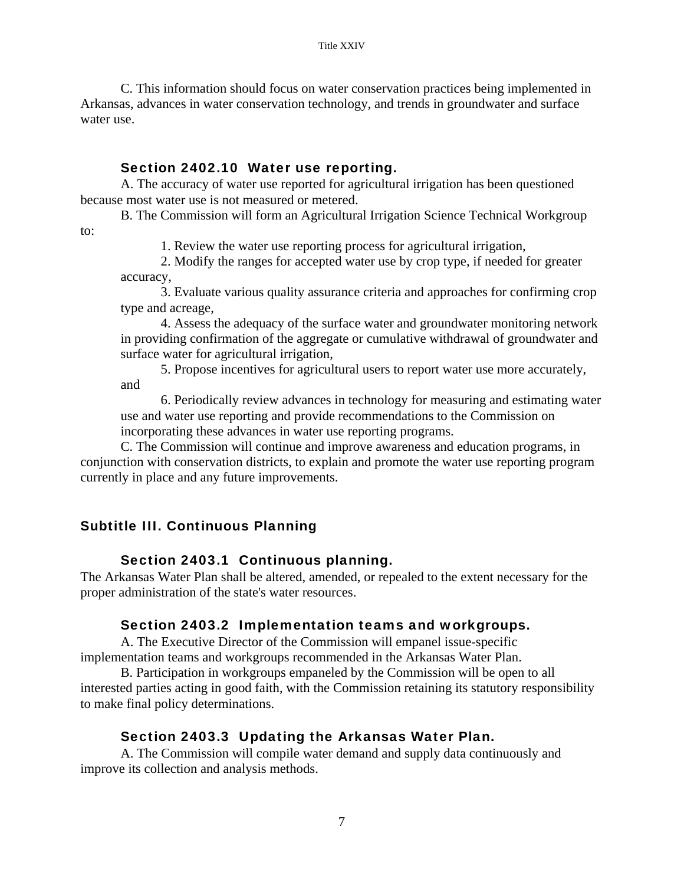C. This information should focus on water conservation practices being implemented in Arkansas, advances in water conservation technology, and trends in groundwater and surface water use.

### Section 2402.10 Water use reporting.

 A. The accuracy of water use reported for agricultural irrigation has been questioned because most water use is not measured or metered.

 B. The Commission will form an Agricultural Irrigation Science Technical Workgroup to:

1. Review the water use reporting process for agricultural irrigation,

 2. Modify the ranges for accepted water use by crop type, if needed for greater accuracy,

3. Evaluate various quality assurance criteria and approaches for confirming crop type and acreage,

4. Assess the adequacy of the surface water and groundwater monitoring network in providing confirmation of the aggregate or cumulative withdrawal of groundwater and surface water for agricultural irrigation,

5. Propose incentives for agricultural users to report water use more accurately, and

 6. Periodically review advances in technology for measuring and estimating water use and water use reporting and provide recommendations to the Commission on incorporating these advances in water use reporting programs.

 C. The Commission will continue and improve awareness and education programs, in conjunction with conservation districts, to explain and promote the water use reporting program currently in place and any future improvements.

## Subtitle III. Continuous Planning

### Section 2403.1 Continuous planning.

The Arkansas Water Plan shall be altered, amended, or repealed to the extent necessary for the proper administration of the state's water resources.

### Section 2403.2 Implementation teams and workgroups.

 A. The Executive Director of the Commission will empanel issue-specific implementation teams and workgroups recommended in the Arkansas Water Plan.

 B. Participation in workgroups empaneled by the Commission will be open to all interested parties acting in good faith, with the Commission retaining its statutory responsibility to make final policy determinations.

### Section 2403.3 Updating the Arkansas Water Plan.

 A. The Commission will compile water demand and supply data continuously and improve its collection and analysis methods.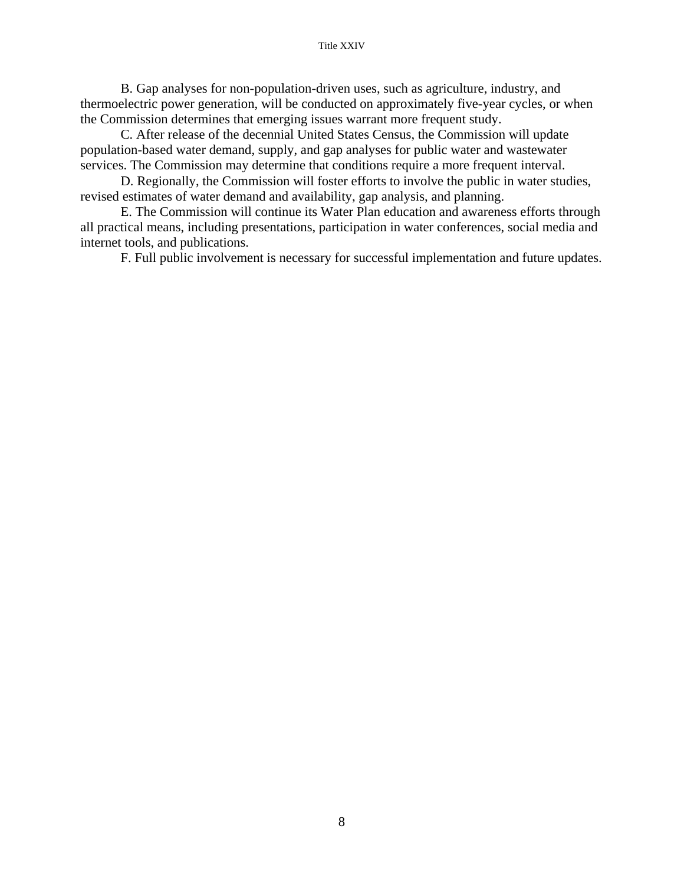#### Title XXIV

 B. Gap analyses for non-population-driven uses, such as agriculture, industry, and thermoelectric power generation, will be conducted on approximately five-year cycles, or when the Commission determines that emerging issues warrant more frequent study.

 C. After release of the decennial United States Census, the Commission will update population-based water demand, supply, and gap analyses for public water and wastewater services. The Commission may determine that conditions require a more frequent interval.

 D. Regionally, the Commission will foster efforts to involve the public in water studies, revised estimates of water demand and availability, gap analysis, and planning.

 E. The Commission will continue its Water Plan education and awareness efforts through all practical means, including presentations, participation in water conferences, social media and internet tools, and publications.

F. Full public involvement is necessary for successful implementation and future updates.